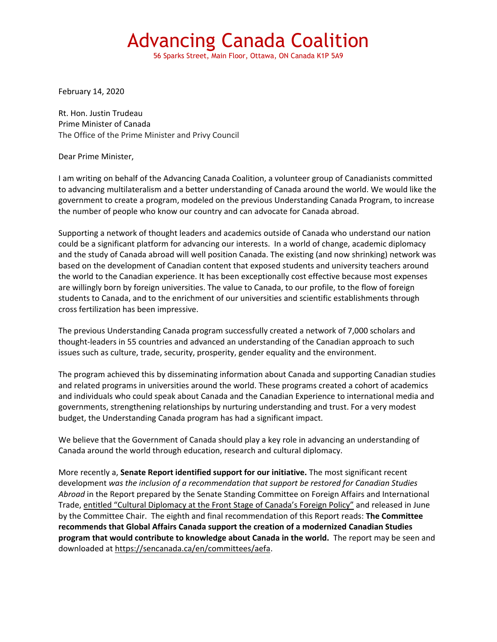56 Sparks Street, Main Floor, Ottawa, ON Canada K1P 5A9

February 14, 2020

Rt. Hon. Justin Trudeau Prime Minister of Canada The Office of the Prime Minister and Privy Council

Dear Prime Minister,

I am writing on behalf of the Advancing Canada Coalition, a volunteer group of Canadianists committed to advancing multilateralism and a better understanding of Canada around the world. We would like the government to create a program, modeled on the previous Understanding Canada Program, to increase the number of people who know our country and can advocate for Canada abroad.

Supporting a network of thought leaders and academics outside of Canada who understand our nation could be a significant platform for advancing our interests. In a world of change, academic diplomacy and the study of Canada abroad will well position Canada. The existing (and now shrinking) network was based on the development of Canadian content that exposed students and university teachers around the world to the Canadian experience. It has been exceptionally cost effective because most expenses are willingly born by foreign universities. The value to Canada, to our profile, to the flow of foreign students to Canada, and to the enrichment of our universities and scientific establishments through cross fertilization has been impressive.

The previous Understanding Canada program successfully created a network of 7,000 scholars and thought-leaders in 55 countries and advanced an understanding of the Canadian approach to such issues such as culture, trade, security, prosperity, gender equality and the environment.

The program achieved this by disseminating information about Canada and supporting Canadian studies and related programs in universities around the world. These programs created a cohort of academics and individuals who could speak about Canada and the Canadian Experience to international media and governments, strengthening relationships by nurturing understanding and trust. For a very modest budget, the Understanding Canada program has had a significant impact.

We believe that the Government of Canada should play a key role in advancing an understanding of Canada around the world through education, research and cultural diplomacy.

More recently a, **Senate Report identified support for our initiative.** The most significant recent development *was the inclusion of a recommendation that support be restored for Canadian Studies Abroad* in the Report prepared by the Senate Standing Committee on Foreign Affairs and International Trade, entitled "Cultural Diplomacy at the Front Stage of Canada's Foreign Policy" and released in June by the Committee Chair. The eighth and final recommendation of this Report reads: **The Committee recommends that Global Affairs Canada support the creation of a modernized Canadian Studies program that would contribute to knowledge about Canada in the world.** The report may be seen and downloaded at [https://sencanada.ca/en/committees/aefa.](https://sencanada.ca/en/committees/aefa)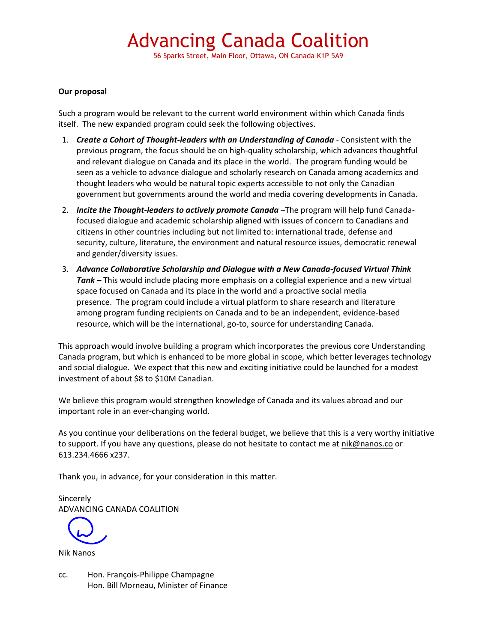56 Sparks Street, Main Floor, Ottawa, ON Canada K1P 5A9

#### **Our proposal**

Such a program would be relevant to the current world environment within which Canada finds itself. The new expanded program could seek the following objectives.

- 1. *Create a Cohort of Thought-leaders with an Understanding of Canada* Consistent with the previous program, the focus should be on high-quality scholarship, which advances thoughtful and relevant dialogue on Canada and its place in the world. The program funding would be seen as a vehicle to advance dialogue and scholarly research on Canada among academics and thought leaders who would be natural topic experts accessible to not only the Canadian government but governments around the world and media covering developments in Canada.
- 2. *Incite the Thought-leaders to actively promote Canada* -The program will help fund Canadafocused dialogue and academic scholarship aligned with issues of concern to Canadians and citizens in other countries including but not limited to: international trade, defense and security, culture, literature, the environment and natural resource issues, democratic renewal and gender/diversity issues.
- 3. *Advance Collaborative Scholarship and Dialogue with a New Canada-focused Virtual Think Tank –* This would include placing more emphasis on a collegial experience and a new virtual space focused on Canada and its place in the world and a proactive social media presence. The program could include a virtual platform to share research and literature among program funding recipients on Canada and to be an independent, evidence-based resource, which will be the international, go-to, source for understanding Canada.

This approach would involve building a program which incorporates the previous core Understanding Canada program, but which is enhanced to be more global in scope, which better leverages technology and social dialogue. We expect that this new and exciting initiative could be launched for a modest investment of about \$8 to \$10M Canadian.

We believe this program would strengthen knowledge of Canada and its values abroad and our important role in an ever-changing world.

As you continue your deliberations on the federal budget, we believe that this is a very worthy initiative to support. If you have any questions, please do not hesitate to contact me at [nik@nanos.co](mailto:nik@nanos.co) or 613.234.4666 x237.

Thank you, in advance, for your consideration in this matter.

Sincerely ADVANCING CANADA COALITION

Nik Nanos

cc. Hon. François-Philippe Champagne Hon. Bill Morneau, Minister of Finance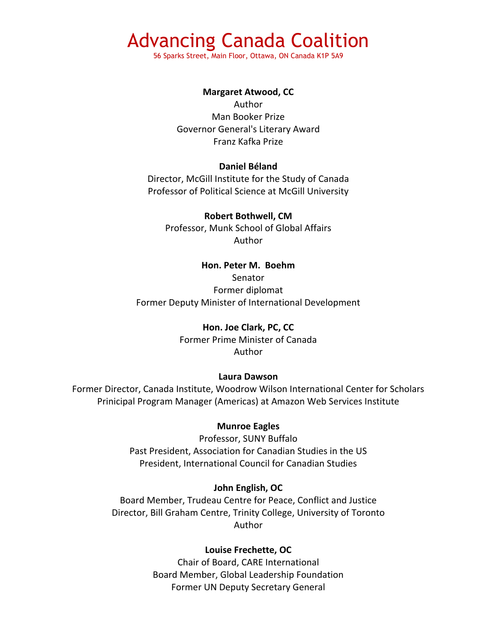56 Sparks Street, Main Floor, Ottawa, ON Canada K1P 5A9

#### **Margaret Atwood, CC**

Author Man Booker Prize Governor General's Literary Award Franz Kafka Prize

#### **Daniel Béland**

Director, McGill Institute for the Study of Canada Professor of Political Science at McGill University

#### **Robert Bothwell, CM**

Professor, Munk School of Global Affairs Author

### **Hon. Peter M. Boehm**

Senator Former diplomat Former Deputy Minister of International Development

#### **Hon. Joe Clark, PC, CC**

Former Prime Minister of Canada Author

#### **Laura Dawson**

Former Director, Canada Institute, Woodrow Wilson International Center for Scholars Prinicipal Program Manager (Americas) at Amazon Web Services Institute

#### **Munroe Eagles**

Professor, SUNY Buffalo Past President, Association for Canadian Studies in the US President, International Council for Canadian Studies

#### **John English, OC**

Board Member, Trudeau Centre for Peace, Conflict and Justice Director, Bill Graham Centre, Trinity College, University of Toronto Author

#### **Louise Frechette, OC**

Chair of Board, CARE International Board Member, Global Leadership Foundation Former UN Deputy Secretary General